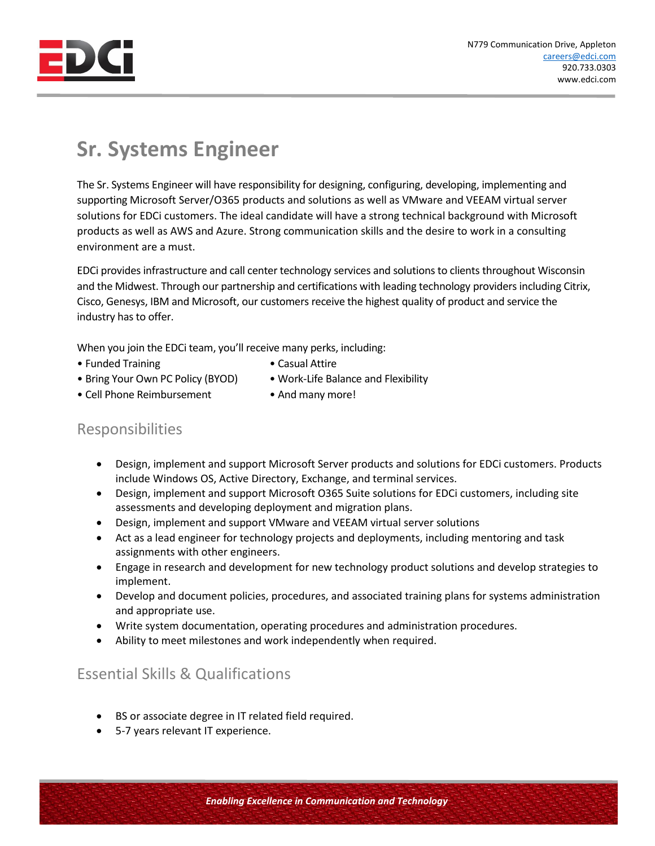

## **Sr. Systems Engineer**

The Sr. Systems Engineer will have responsibility for designing, configuring, developing, implementing and supporting Microsoft Server/O365 products and solutions as well as VMware and VEEAM virtual server solutions for EDCi customers. The ideal candidate will have a strong technical background with Microsoft products as well as AWS and Azure. Strong communication skills and the desire to work in a consulting environment are a must.

EDCi provides infrastructure and call center technology services and solutions to clients throughout Wisconsin and the Midwest. Through our partnership and certifications with leading technology providers including Citrix, Cisco, Genesys, IBM and Microsoft, our customers receive the highest quality of product and service the industry has to offer.

When you join the EDCi team, you'll receive many perks, including:

- Funded Training  **Casual Attire**
- 
- Bring Your Own PC Policy (BYOD) Work-Life Balance and Flexibility
- Cell Phone Reimbursement And many more!
- 

## Responsibilities

- Design, implement and support Microsoft Server products and solutions for EDCi customers. Products include Windows OS, Active Directory, Exchange, and terminal services.
- Design, implement and support Microsoft O365 Suite solutions for EDCi customers, including site assessments and developing deployment and migration plans.
- Design, implement and support VMware and VEEAM virtual server solutions
- Act as a lead engineer for technology projects and deployments, including mentoring and task assignments with other engineers.
- Engage in research and development for new technology product solutions and develop strategies to implement.
- Develop and document policies, procedures, and associated training plans for systems administration and appropriate use.
- Write system documentation, operating procedures and administration procedures.
- Ability to meet milestones and work independently when required.

## Essential Skills & Qualifications

- BS or associate degree in IT related field required.
- 5-7 years relevant IT experience.